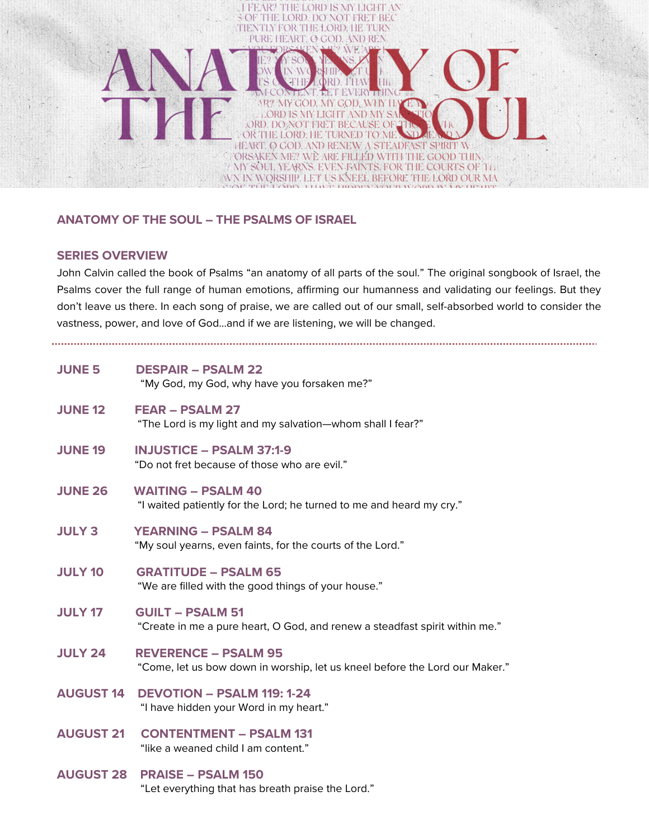

# **ANATOMY OF THE SOUL – THE PSALMS OF ISRAEL**

### **SERIES OVERVIEW**

John Calvin called the book of Psalms "an anatomy of all parts of the soul." The original songbook of Israel, the Psalms cover the full range of human emotions, affirming our humanness and validating our feelings. But they don't leave us there. In each song of praise, we are called out of our small, self-absorbed world to consider the vastness, power, and love of God…and if we are listening, we will be changed.

| <b>JUNE 5</b>    | <b>DESPAIR - PSALM 22</b><br>"My God, my God, why have you forsaken me?"                                   |
|------------------|------------------------------------------------------------------------------------------------------------|
| <b>JUNE 12</b>   | <b>FEAR - PSALM 27</b><br>"The Lord is my light and my salvation-whom shall I fear?"                       |
| <b>JUNE 19</b>   | <b>INJUSTICE - PSALM 37:1-9</b><br>"Do not fret because of those who are evil."                            |
| <b>JUNE 26</b>   | <b>WAITING - PSALM 40</b><br>"I waited patiently for the Lord; he turned to me and heard my cry."          |
| <b>JULY 3</b>    | <b>YEARNING - PSALM 84</b><br>"My soul yearns, even faints, for the courts of the Lord."                   |
| <b>JULY 10</b>   | <b>GRATITUDE - PSALM 65</b><br>"We are filled with the good things of your house."                         |
| <b>JULY 17</b>   | <b>GUILT - PSALM 51</b><br>"Create in me a pure heart, O God, and renew a steadfast spirit within me."     |
| <b>JULY 24</b>   | <b>REVERENCE - PSALM 95</b><br>"Come, let us bow down in worship, let us kneel before the Lord our Maker." |
| <b>AUGUST 14</b> | <b>DEVOTION - PSALM 119: 1-24</b><br>"I have hidden your Word in my heart."                                |
| <b>AUGUST 21</b> | <b>CONTENTMENT - PSALM 131</b><br>"like a weaned child I am content."                                      |
| <b>AUGUST 28</b> | <b>PRAISE - PSALM 150</b><br>"Let everything that has breath praise the Lord."                             |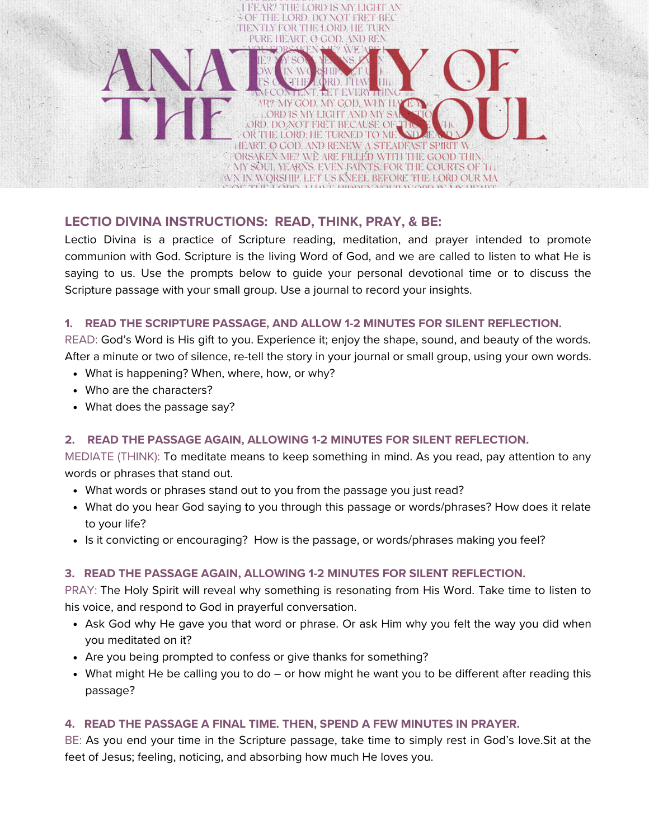# THE LORD DO NOT FRET BEC **NTLY FOR THE LORD: HE TURN** PURE HEART CLCOD AND RE OR THE LORD HE TURNED TO MI **HEART O GOD AND RENEW A STEADEAST SPIRIT W** ORSAKEN ME? WÈ ARE FILLED WITH THE GOOD THIN MY SOUL YEARNS. EVEN FAINTS, FOR THE COURTS OF TH WN IN WORSHIP. LET US KNEEL BEFORE THE LORD OUR MA

# **LECTIO DIVINA INSTRUCTIONS: READ, THINK, PRAY, & BE:**

ROF

Lectio Divina is a practice of Scripture reading, meditation, and prayer intended to promote communion with God. Scripture is the living Word of God, and we are called to listen to what He is saying to us. Use the prompts below to guide your personal devotional time or to discuss the Scripture passage with your small group. Use a journal to record your insights.

# **1. READ THE SCRIPTURE PASSAGE, AND ALLOW 1-2 MINUTES FOR SILENT REFLECTION.**

READ: God's Word is His gift to you. Experience it; enjoy the shape, sound, and beauty of the words. After a minute or two of silence, re-tell the story in your journal or small group, using your own words.

- What is happening? When, where, how, or why?
- Who are the characters?
- What does the passage say?

# **2. READ THE PASSAGE AGAIN, ALLOWING 1-2 MINUTES FOR SILENT REFLECTION.**

MEDIATE (THINK): To meditate means to keep something in mind. As you read, pay attention to any words or phrases that stand out.

- What words or phrases stand out to you from the passage you just read?
- What do you hear God saying to you through this passage or words/phrases? How does it relate to your life?
- Is it convicting or encouraging? How is the passage, or words/phrases making you feel?

# **3. READ THE PASSAGE AGAIN, ALLOWING 1-2 MINUTES FOR SILENT REFLECTION.**

PRAY: The Holy Spirit will reveal why something is resonating from His Word. Take time to listen to his voice, and respond to God in prayerful conversation.

- Ask God why He gave you that word or phrase. Or ask Him why you felt the way you did when you meditated on it?
- Are you being prompted to confess or give thanks for something?
- What might He be calling you to do or how might he want you to be different after reading this passage?

# **4. READ THE PASSAGE A FINAL TIME. THEN, SPEND A FEW MINUTES IN PRAYER.**

BE: As you end your time in the Scripture passage, take time to simply rest in God's love.Sit at the feet of Jesus; feeling, noticing, and absorbing how much He loves you.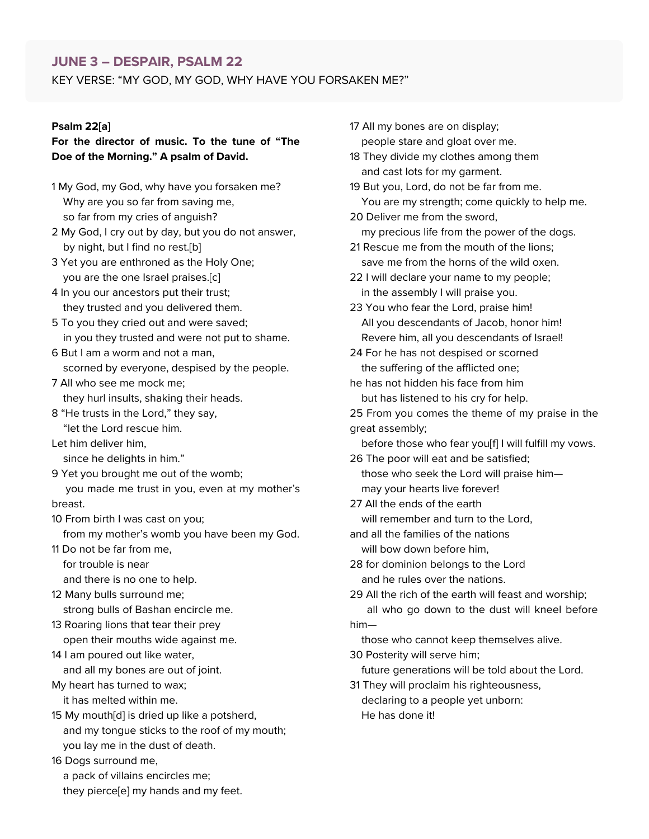#### **JUNE 3 – DESPAIR, PSALM 22**

KEY VERSE: "MY GOD, MY GOD, WHY HAVE YOU FORSAKEN ME?"

#### **Psalm 22[[a](https://www.biblegateway.com/passage/?search=Psalm+22&version=NIV#fen-NIV-14206a)]**

### **For the director of music. To the tune of "The Doe of the Morning." A psalm of David.**

- 1 My God, my God, why have you forsaken me? Why are you so far from saving me, so far from my cries of anguish?
- 2 My God, I cry out by day, but you do not answer, by night, but I find no rest.[[b\]](https://www.biblegateway.com/passage/?search=Psalm+22&version=NIV#fen-NIV-14207b)
- 3 Yet you are enthroned as the Holy One; you are the one Israel praises.[\[c\]](https://www.biblegateway.com/passage/?search=Psalm+22&version=NIV#fen-NIV-14208c)
- 4 In you our ancestors put their trust; they trusted and you delivered them.
- 5 To you they cried out and were saved; in you they trusted and were not put to shame.
- 6 But I am a worm and not a man, scorned by everyone, despised by the people.
- 7 All who see me mock me; they hurl insults, shaking their heads.
- 8 "He trusts in the Lord," they say, "let the Lord rescue him.
- Let him deliver him,
	- since he delights in him."
- 9 Yet you brought me out of the womb; you made me trust in you, even at my mother's
- breast.
- 10 From birth I was cast on you;
- from my mother's womb you have been my God.
- 11 Do not be far from me,
	- for trouble is near
	- and there is no one to help.
- 12 Many bulls surround me; strong bulls of Bashan encircle me.
- 13 Roaring lions that tear their prey open their mouths wide against me.
- 14 I am poured out like water, and all my bones are out of joint. My heart has turned to wax;
- it has melted within me.
- 15 My mouth[[d\]](https://www.biblegateway.com/passage/?search=Psalm+22&version=NIV#fen-NIV-14220d) is dried up like a potsherd, and my tongue sticks to the roof of my mouth; you lay me in the dust of death.

16 Dogs surround me, a pack of villains encircles me; they pierce[[e](https://www.biblegateway.com/passage/?search=Psalm+22&version=NIV#fen-NIV-14221e)] my hands and my feet. 17 All my bones are on display;

people stare and gloat over me.

- 18 They divide my clothes among them and cast lots for my garment.
- 19 But you, Lord, do not be far from me. You are my strength; come quickly to help me.
- 20 Deliver me from the sword, my precious life from the power of the dogs.
- 21 Rescue me from the mouth of the lions; save me from the horns of the wild oxen.
- 22 I will declare your name to my people; in the assembly I will praise you.
- 23 You who fear the Lord, praise him! All you descendants of Jacob, honor him! Revere him, all you descendants of Israel!
- 24 For he has not despised or scorned the suffering of the afflicted one;
- he has not hidden his face from him but has listened to his cry for help.
- 25 From you comes the theme of my praise in the great assembly;
	- before those who fear you[[f\]](https://www.biblegateway.com/passage/?search=Psalm+22&version=NIV#fen-NIV-14230f) I will fulfill my vows.
- 26 The poor will eat and be satisfied; those who seek the Lord will praise him
	- may your hearts live forever!
- 27 All the ends of the earth will remember and turn to the Lord. and all the families of the nations
	- will bow down before him,
- 28 for dominion belongs to the Lord and he rules over the nations.
- 29 All the rich of the earth will feast and worship; all who go down to the dust will kneel before him—
- those who cannot keep themselves alive. 30 Posterity will serve him;
- future generations will be told about the Lord.
- 31 They will proclaim his righteousness, declaring to a people yet unborn: He has done it!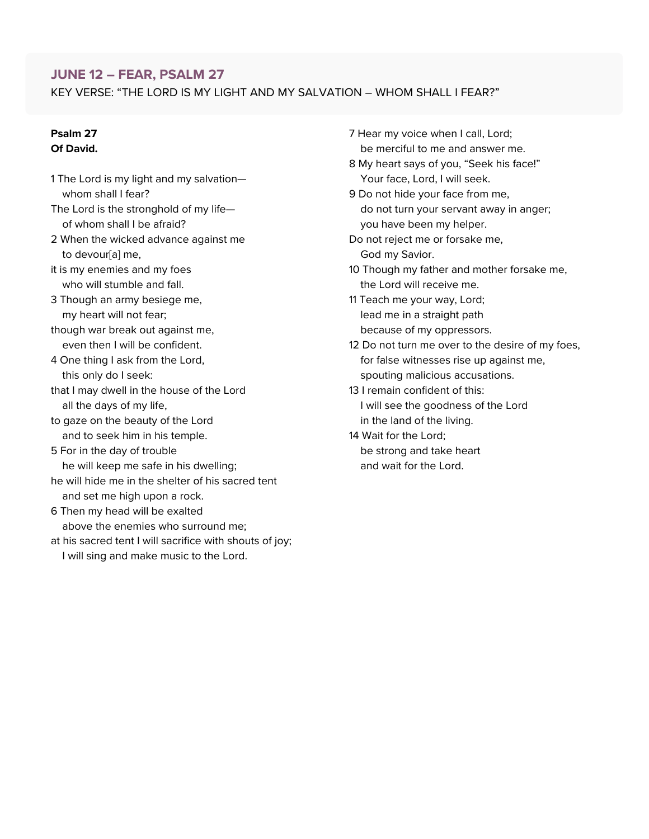# **JUNE 12 – FEAR, PSALM 27**

KEY VERSE: "THE LORD IS MY LIGHT AND MY SALVATION – WHOM SHALL I FEAR?"

#### **Psalm 27 Of David.**

- 1 The Lord is my light and my salvation whom shall I fear?
- The Lord is the stronghold of my life of whom shall I be afraid?
- 2 When the wicked advance against me to devour[[a](https://www.biblegateway.com/passage/?search=Psalm+27&version=NIV#fen-NIV-14288a)] me,
- it is my enemies and my foes who will stumble and fall.
- 3 Though an army besiege me, my heart will not fear;
- though war break out against me, even then I will be confident.
- 4 One thing I ask from the Lord, this only do I seek:
- that I may dwell in the house of the Lord all the days of my life,
- to gaze on the beauty of the Lord and to seek him in his temple.
- 5 For in the day of trouble
- he will keep me safe in his dwelling; he will hide me in the shelter of his sacred tent
- and set me high upon a rock.
- 6 Then my head will be exalted above the enemies who surround me;
- at his sacred tent I will sacrifice with shouts of joy; I will sing and make music to the Lord.
- 7 Hear my voice when I call, Lord; be merciful to me and answer me.
- 8 My heart says of you, "Seek his face!" Your face, Lord, I will seek.
- 9 Do not hide your face from me, do not turn your servant away in anger; you have been my helper.
- Do not reject me or forsake me, God my Savior.
- 10 Though my father and mother forsake me, the Lord will receive me.
- 11 Teach me your way, Lord; lead me in a straight path because of my oppressors.
- 12 Do not turn me over to the desire of my foes, for false witnesses rise up against me, spouting malicious accusations.
- 13 I remain confident of this: I will see the goodness of the Lord in the land of the living.
- 14 Wait for the Lord; be strong and take heart and wait for the Lord.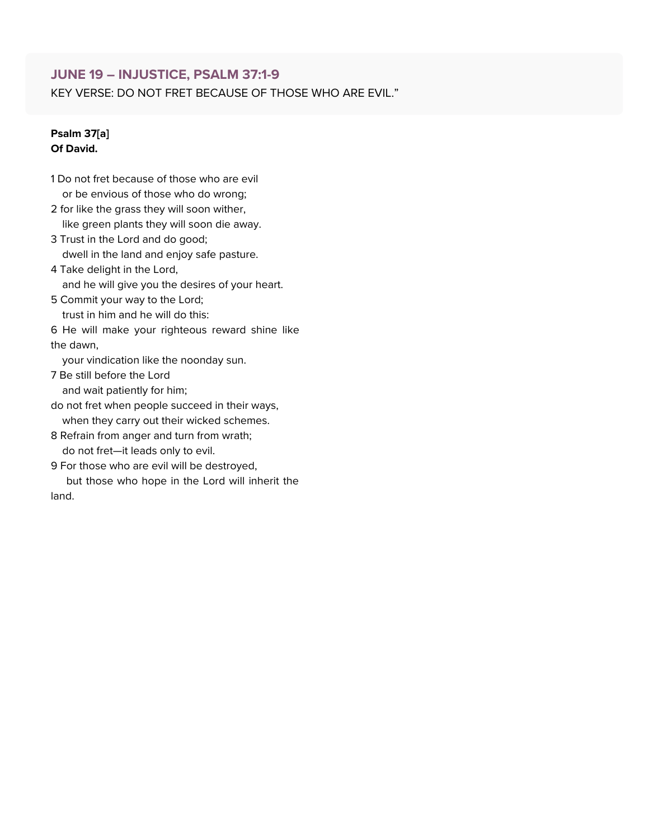# **JUNE 19 – INJUSTICE, PSALM 37:1-9**

KEY VERSE: DO NOT FRET BECAUSE OF THOSE WHO ARE EVIL."

#### **Psalm 37[[a](https://www.biblegateway.com/passage/?search=Psalm+37%3A1-9&version=NIV#fen-NIV-14452a)] Of David.**

- 1 Do not fret because of those who are evil or be envious of those who do wrong;
- 2 for like the grass they will soon wither, like green plants they will soon die away.
- 3 Trust in the Lord and do good; dwell in the land and enjoy safe pasture.
- 4 Take delight in the Lord, and he will give you the desires of your heart.
- 5 Commit your way to the Lord; trust in him and he will do this:
- 6 He will make your righteous reward shine like the dawn,

your vindication like the noonday sun.

- 7 Be still before the Lord and wait patiently for him;
- do not fret when people succeed in their ways, when they carry out their wicked schemes.
- 8 Refrain from anger and turn from wrath; do not fret—it leads only to evil.
- 9 For those who are evil will be destroyed, but those who hope in the Lord will inherit the land.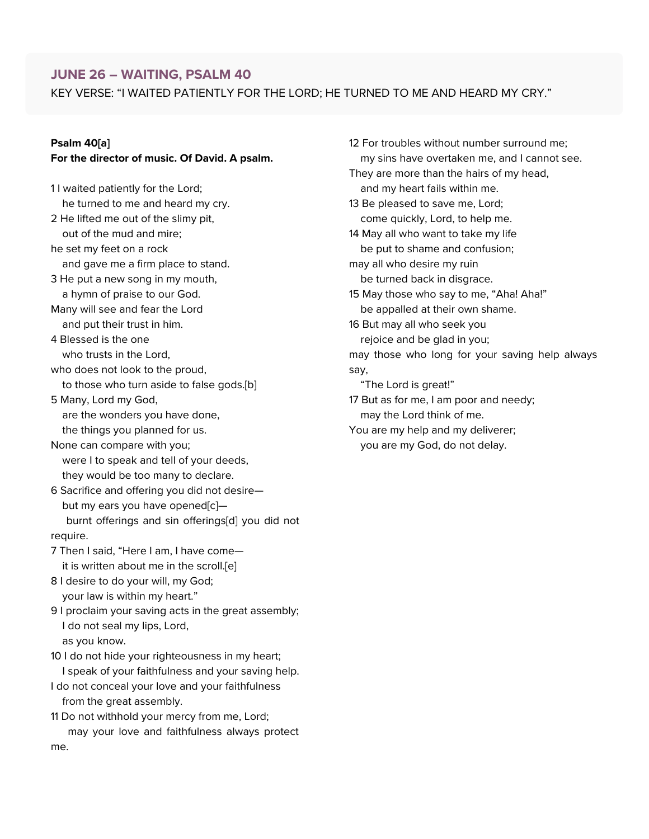# **JUNE 26 – WAITING, PSALM 40**

KEY VERSE: "I WAITED PATIENTLY FOR THE LORD; HE TURNED TO ME AND HEARD MY CRY."

# **Psalm 40[\[a\]](https://www.biblegateway.com/passage/?search=Psalm+40&version=NIV#fen-NIV-14527a)**

me.

### **For the director of music. Of David. A psalm.**

11 waited patiently for the Lord; he turned to me and heard my cry. 2 He lifted me out of the slimy pit, out of the mud and mire; he set my feet on a rock and gave me a firm place to stand. 3 He put a new song in my mouth, a hymn of praise to our God. Many will see and fear the Lord and put their trust in him. 4 Blessed is the one who trusts in the Lord, who does not look to the proud, to those who turn aside to false gods.[\[b\]](https://www.biblegateway.com/passage/?search=Psalm+40&version=NIV#fen-NIV-14530b) 5 Many, Lord my God, are the wonders you have done, the things you planned for us. None can compare with you; were I to speak and tell of your deeds, they would be too many to declare. 6 Sacrifice and offering you did not desire— but my ears you have opened[\[c](https://www.biblegateway.com/passage/?search=Psalm+40&version=NIV#fen-NIV-14532c)]burnt offerings and sin offerings[[d\]](https://www.biblegateway.com/passage/?search=Psalm+40&version=NIV#fen-NIV-14532d) you did not require. 7 Then I said, "Here I am, I have come it is written about me in the scroll.[[e\]](https://www.biblegateway.com/passage/?search=Psalm+40&version=NIV#fen-NIV-14533e) 8 I desire to do your will, my God; your law is within my heart." 9 I proclaim your saving acts in the great assembly; I do not seal my lips, Lord, as you know. 10 I do not hide your righteousness in my heart; I speak of your faithfulness and your saving help. I do not conceal your love and your faithfulness from the great assembly. 11 Do not withhold your mercy from me, Lord; may your love and faithfulness always protect 12 For troubles without number surround me; my sins have overtaken me, and I cannot see. They are more than the hairs of my head, and my heart fails within me. 13 Be pleased to save me, Lord; come quickly, Lord, to help me. 14 May all who want to take my life be put to shame and confusion; may all who desire my ruin be turned back in disgrace. 15 May those who say to me, "Aha! Aha!" be appalled at their own shame. 16 But may all who seek you rejoice and be glad in you; may those who long for your saving help always say, "The Lord is great!" 17 But as for me, I am poor and needy; may the Lord think of me.

You are my help and my deliverer; you are my God, do not delay.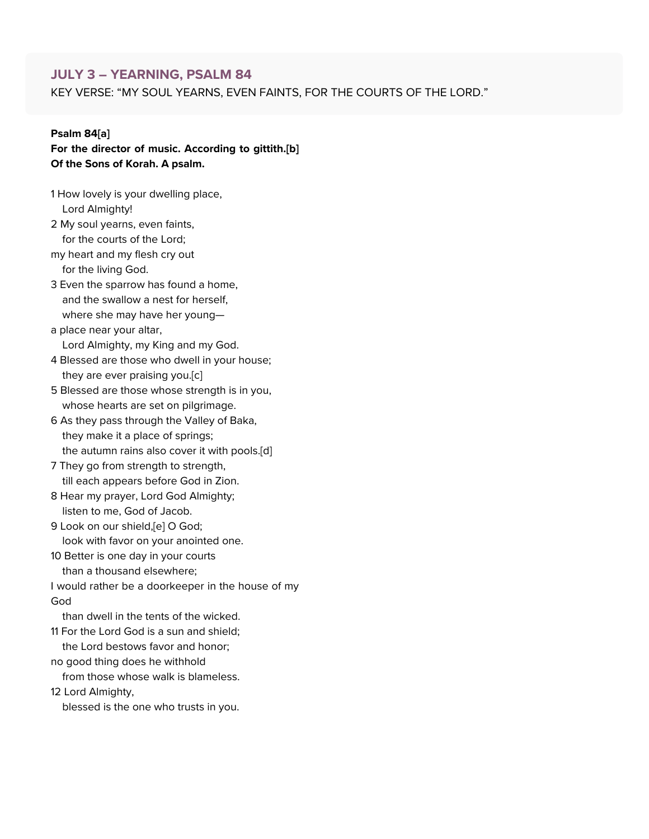## **JULY 3 – YEARNING, PSALM 84**

KEY VERSE: "MY SOUL YEARNS, EVEN FAINTS, FOR THE COURTS OF THE LORD."

#### **Psalm 84[\[a\]](https://www.biblegateway.com/passage/?search=Psalm+84&version=NIV#fen-NIV-15261a)**

**For the director of music. According to gittith.[\[b](https://www.biblegateway.com/passage/?search=Psalm+84&version=NIV#fen-NIV-15261b)] Of the Sons of Korah. A psalm.**

- 1 How lovely is your dwelling place, Lord Almighty! 2 My soul yearns, even faints, for the courts of the Lord;
- my heart and my flesh cry out for the living God.
- 3 Even the sparrow has found a home, and the swallow a nest for herself, where she may have her young—
- a place near your altar, Lord Almighty, my King and my God.
- 4 Blessed are those who dwell in your house; they are ever praising you.[\[c](https://www.biblegateway.com/passage/?search=Psalm+84&version=NIV#fen-NIV-15264c)]
- 5 Blessed are those whose strength is in you, whose hearts are set on pilgrimage.
- 6 As they pass through the Valley of Baka, they make it a place of springs; the autumn rains also cover it with pools.[\[d](https://www.biblegateway.com/passage/?search=Psalm+84&version=NIV#fen-NIV-15266d)]
- 7 They go from strength to strength, till each appears before God in Zion.
- 8 Hear my prayer, Lord God Almighty; listen to me, God of Jacob.
- 9 Look on our shield,[\[e](https://www.biblegateway.com/passage/?search=Psalm+84&version=NIV#fen-NIV-15269e)] O God; look with favor on your anointed one.
- 10 Better is one day in your courts
	- than a thousand elsewhere;
- I would rather be a doorkeeper in the house of my God
	- than dwell in the tents of the wicked.
- 11 For the Lord God is a sun and shield; the Lord bestows favor and honor;
- no good thing does he withhold
	- from those whose walk is blameless.
- 12 Lord Almighty,
	- blessed is the one who trusts in you.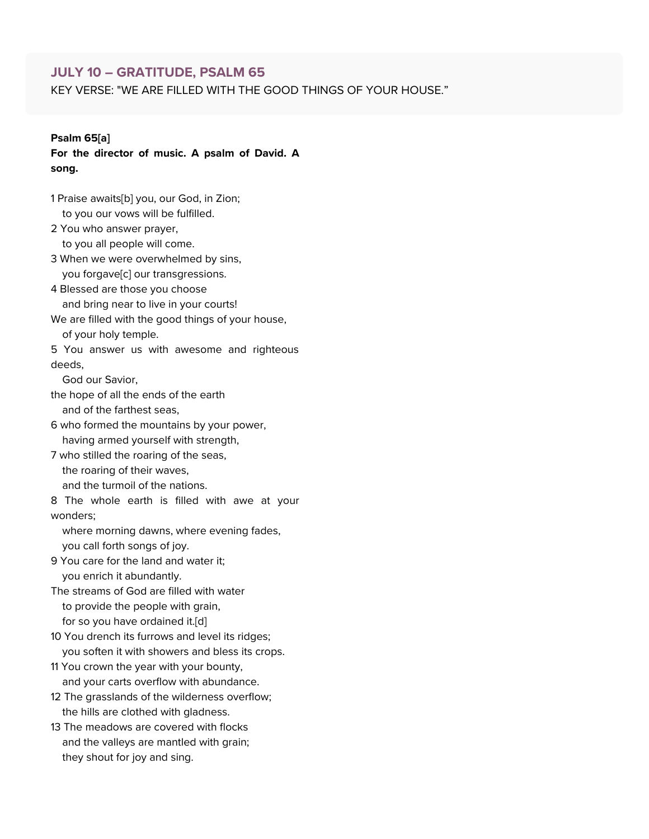### **JULY 10 – GRATITUDE, PSALM 65**

KEY VERSE: "WE ARE FILLED WITH THE GOOD THINGS OF YOUR HOUSE."

#### **Psalm 65[\[a\]](https://www.biblegateway.com/passage/?search=Psalm+65&version=NIV#fen-NIV-14862a)**

**For the director of music. A psalm of David. A song.**

- 1 Praise awaits[[b](https://www.biblegateway.com/passage/?search=Psalm+65&version=NIV#fen-NIV-14862b)] you, our God, in Zion; to you our vows will be fulfilled. 2 You who answer prayer, to you all people will come. 3 When we were overwhelmed by sins,
- you forgave[\[c\]](https://www.biblegateway.com/passage/?search=Psalm+65&version=NIV#fen-NIV-14864c) our transgressions. 4 Blessed are those you choose and bring near to live in your courts!
- We are filled with the good things of your house, of your holy temple.
- 5 You answer us with awesome and righteous deeds,

God our Savior,

- the hope of all the ends of the earth and of the farthest seas,
- 6 who formed the mountains by your power, having armed yourself with strength,
- 7 who stilled the roaring of the seas,
	- the roaring of their waves,
	- and the turmoil of the nations.

8 The whole earth is filled with awe at your wonders;

where morning dawns, where evening fades, you call forth songs of joy.

9 You care for the land and water it; you enrich it abundantly.

The streams of God are filled with water to provide the people with grain, for so you have ordained it.[[d\]](https://www.biblegateway.com/passage/?search=Psalm+65&version=NIV#fen-NIV-14870d)

- 10 You drench its furrows and level its ridges; you soften it with showers and bless its crops.
- 11 You crown the year with your bounty, and your carts overflow with abundance.
- 12 The grasslands of the wilderness overflow; the hills are clothed with gladness.
- 13 The meadows are covered with flocks and the valleys are mantled with grain; they shout for joy and sing.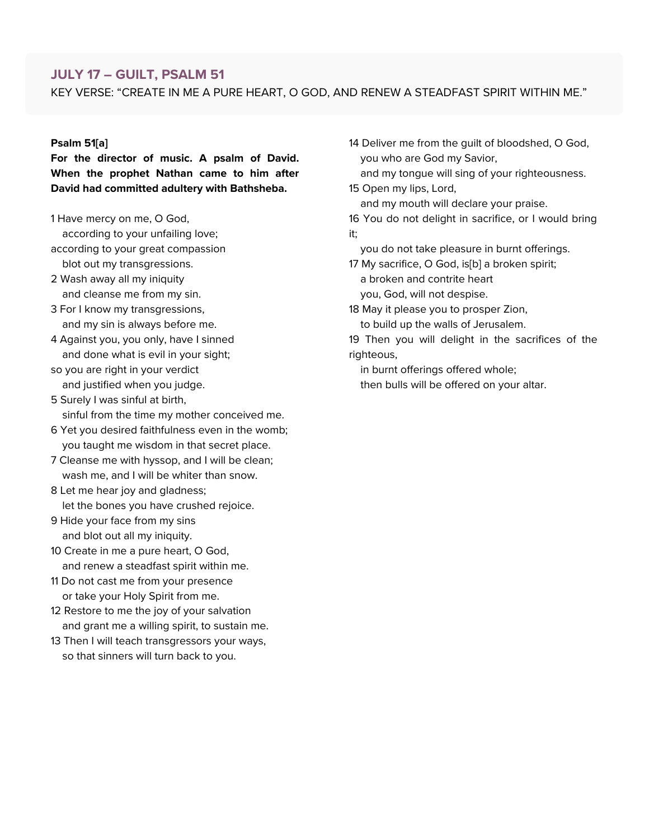# **JULY 17 – GUILT, PSALM 51**

KEY VERSE: "CREATE IN ME A PURE HEART, O GOD, AND RENEW A STEADFAST SPIRIT WITHIN ME."

#### **Psalm 51[\[a\]](https://www.biblegateway.com/passage/?search=Psalm+51&version=NIV#fen-NIV-14693a)**

**For the director of music. A psalm of David. When the prophet Nathan came to him after David had committed adultery with Bathsheba.**

1 Have mercy on me, O God,

according to your unfailing love;

- according to your great compassion
- blot out my transgressions. 2 Wash away all my iniquity
- and cleanse me from my sin.
- 3 For I know my transgressions, and my sin is always before me.
- 4 Against you, you only, have I sinned and done what is evil in your sight;
- so you are right in your verdict and justified when you judge.
- 5 Surely I was sinful at birth, sinful from the time my mother conceived me.
- 6 Yet you desired faithfulness even in the womb; you taught me wisdom in that secret place.
- 7 Cleanse me with hyssop, and I will be clean; wash me, and I will be whiter than snow.
- 8 Let me hear joy and gladness; let the bones you have crushed rejoice.
- 9 Hide your face from my sins and blot out all my iniquity.
- 10 Create in me a pure heart, O God, and renew a steadfast spirit within me.
- 11 Do not cast me from your presence or take your Holy Spirit from me.
- 12 Restore to me the joy of your salvation and grant me a willing spirit, to sustain me.
- 13 Then I will teach transgressors your ways, so that sinners will turn back to you.

14 Deliver me from the guilt of bloodshed, O God, you who are God my Savior,

and my tongue will sing of your righteousness. 15 Open my lips, Lord,

and my mouth will declare your praise.

16 You do not delight in sacrifice, or I would bring it;

you do not take pleasure in burnt offerings.

17 My sacrifice, O God, is[[b\]](https://www.biblegateway.com/passage/?search=Psalm+51&version=NIV#fen-NIV-14709b) a broken spirit; a broken and contrite heart you, God, will not despise.

18 May it please you to prosper Zion,

to build up the walls of Jerusalem.

19 Then you will delight in the sacrifices of the righteous,

in burnt offerings offered whole; then bulls will be offered on your altar.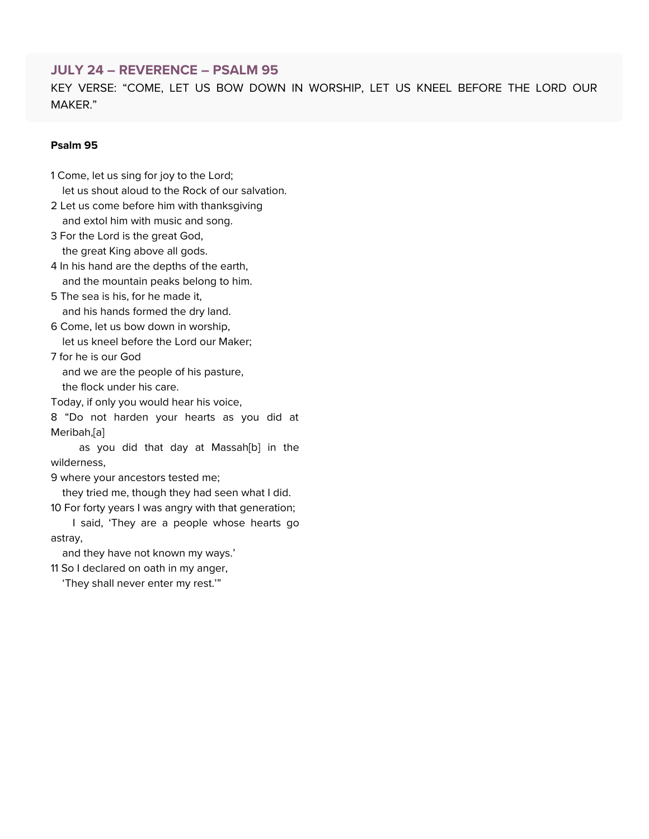### **JULY 24 – REVERENCE – PSALM 95**

KEY VERSE: "COME, LET US BOW DOWN IN WORSHIP, LET US KNEEL BEFORE THE LORD OUR MAKER."

#### **Psalm 95**

- 1 Come, let us sing for joy to the Lord; let us shout aloud to the Rock of our salvation.
- 2 Let us come before him with thanksgiving and extol him with music and song.
- 3 For the Lord is the great God, the great King above all gods.
- 4 In his hand are the depths of the earth, and the mountain peaks belong to him.
- 5 The sea is his, for he made it, and his hands formed the dry land.
- 6 Come, let us bow down in worship, let us kneel before the Lord our Maker;
- 7 for he is our God and we are the people of his pasture, the flock under his care.

Today, if only you would hear his voice,

8 "Do not harden your hearts as you did at Meribah,[[a](https://www.biblegateway.com/passage/?search=Psalm+95&version=NIV#fen-NIV-15463a)]

as you did that day at Massah[\[b](https://www.biblegateway.com/passage/?search=Psalm+95&version=NIV#fen-NIV-15463b)] in the wilderness,

9 where your ancestors tested me;

they tried me, though they had seen what I did.

10 For forty years I was angry with that generation; I said, 'They are a people whose hearts go astray,

and they have not known my ways.'

11 So I declared on oath in my anger,

'They shall never enter my rest.'"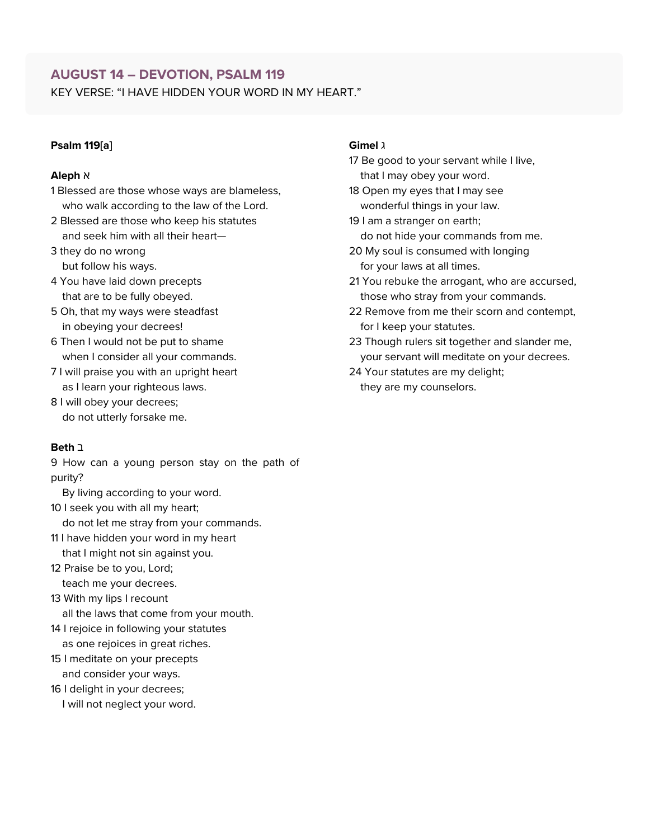# **AUGUST 14 – DEVOTION, PSALM 119**

KEY VERSE: "I HAVE HIDDEN YOUR WORD IN MY HEART."

#### **Psalm 119[[a\]](https://www.biblegateway.com/passage/?search=Psalm+119&version=NIV#fen-NIV-15900a)**

#### א **Aleph**

- 1 Blessed are those whose ways are blameless, who walk according to the law of the Lord.
- 2 Blessed are those who keep his statutes and seek him with all their heart—
- 3 they do no wrong but follow his ways.
- 4 You have laid down precepts that are to be fully obeyed.
- 5 Oh, that my ways were steadfast in obeying your decrees!
- 6 Then I would not be put to shame when I consider all your commands.
- 7 I will praise you with an upright heart as I learn your righteous laws.
- 8 I will obey your decrees; do not utterly forsake me.

#### ב **Beth**

9 How can a young person stay on the path of purity?

By living according to your word.

- 10 I seek you with all my heart; do not let me stray from your commands.
- 11 I have hidden your word in my heart that I might not sin against you.
- 12 Praise be to you, Lord; teach me your decrees.
- 13 With my lips I recount all the laws that come from your mouth.
- 14 I rejoice in following your statutes as one rejoices in great riches.
- 15 I meditate on your precepts and consider your ways.
- 16 I delight in your decrees; I will not neglect your word.

#### ג **Gimel**

- 17 Be good to your servant while I live, that I may obey your word.
- 18 Open my eyes that I may see wonderful things in your law.
- 19 I am a stranger on earth; do not hide your commands from me.
- 20 My soul is consumed with longing for your laws at all times.
- 21 You rebuke the arrogant, who are accursed, those who stray from your commands.
- 22 Remove from me their scorn and contempt, for I keep your statutes.
- 23 Though rulers sit together and slander me, your servant will meditate on your decrees.
- 24 Your statutes are my delight; they are my counselors.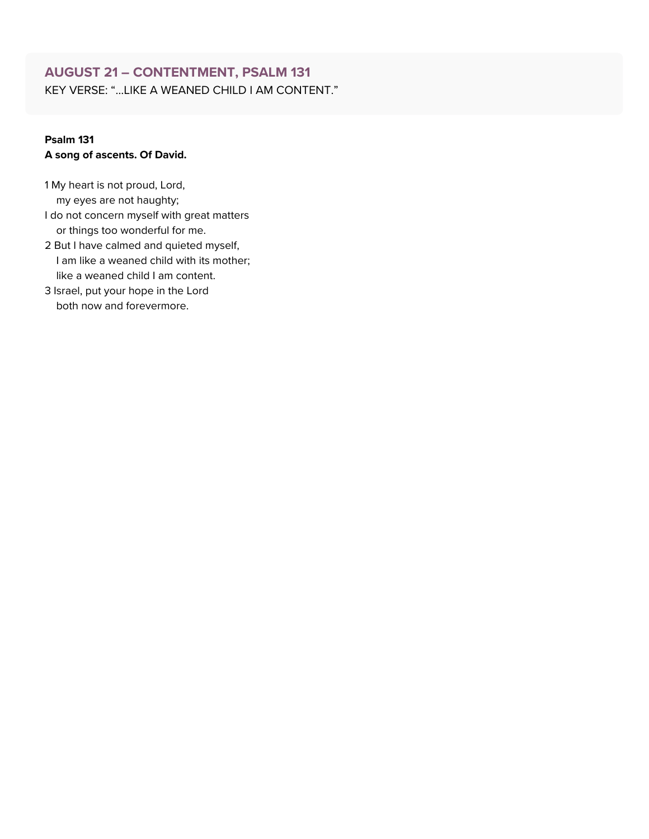# **AUGUST 21 – CONTENTMENT, PSALM 131**

KEY VERSE: "…LIKE A WEANED CHILD I AM CONTENT."

### **Psalm 131 A song of ascents. Of David.**

1 My heart is not proud, Lord, my eyes are not haughty; I do not concern myself with great matters or things too wonderful for me.

- 2 But I have calmed and quieted myself, I am like a weaned child with its mother; like a weaned child I am content.
- 3 Israel, put your hope in the Lord both now and forevermore.